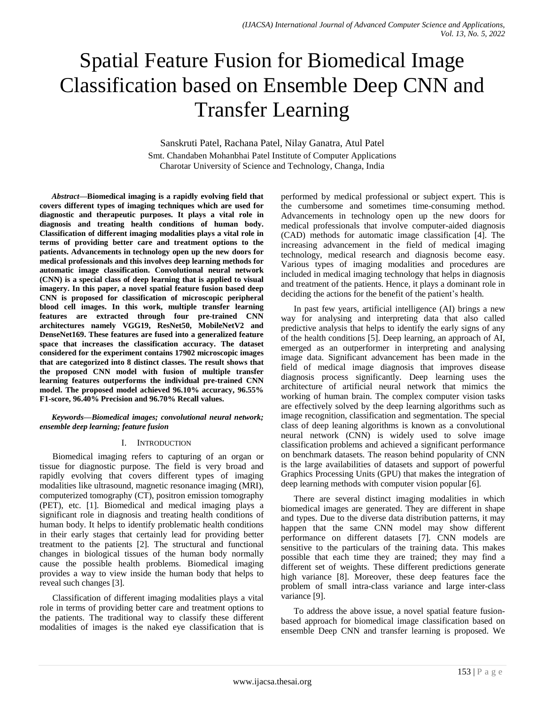# Spatial Feature Fusion for Biomedical Image Classification based on Ensemble Deep CNN and Transfer Learning

Sanskruti Patel, Rachana Patel, Nilay Ganatra, Atul Patel Smt. Chandaben Mohanbhai Patel Institute of Computer Applications Charotar University of Science and Technology, Changa, India

*Abstract***—Biomedical imaging is a rapidly evolving field that covers different types of imaging techniques which are used for diagnostic and therapeutic purposes. It plays a vital role in diagnosis and treating health conditions of human body. Classification of different imaging modalities plays a vital role in terms of providing better care and treatment options to the patients. Advancements in technology open up the new doors for medical professionals and this involves deep learning methods for automatic image classification. Convolutional neural network (CNN) is a special class of deep learning that is applied to visual imagery. In this paper, a novel spatial feature fusion based deep CNN is proposed for classification of microscopic peripheral blood cell images. In this work, multiple transfer learning features are extracted through four pre-trained CNN architectures namely VGG19, ResNet50, MobileNetV2 and DenseNet169. These features are fused into a generalized feature space that increases the classification accuracy. The dataset considered for the experiment contains 17902 microscopic images that are categorized into 8 distinct classes. The result shows that the proposed CNN model with fusion of multiple transfer learning features outperforms the individual pre-trained CNN model. The proposed model achieved 96.10% accuracy, 96.55% F1-score, 96.40% Precision and 96.70% Recall values.**

#### *Keywords—Biomedical images; convolutional neural network; ensemble deep learning; feature fusion*

## I. INTRODUCTION

Biomedical imaging refers to capturing of an organ or tissue for diagnostic purpose. The field is very broad and rapidly evolving that covers different types of imaging modalities like ultrasound, magnetic resonance imaging (MRI), computerized tomography (CT), positron emission tomography (PET), etc. [1]. Biomedical and medical imaging plays a significant role in diagnosis and treating health conditions of human body. It helps to identify problematic health conditions in their early stages that certainly lead for providing better treatment to the patients [2]. The structural and functional changes in biological tissues of the human body normally cause the possible health problems. Biomedical imaging provides a way to view inside the human body that helps to reveal such changes [3].

Classification of different imaging modalities plays a vital role in terms of providing better care and treatment options to the patients. The traditional way to classify these different modalities of images is the naked eye classification that is performed by medical professional or subject expert. This is the cumbersome and sometimes time-consuming method. Advancements in technology open up the new doors for medical professionals that involve computer-aided diagnosis (CAD) methods for automatic image classification [4]. The increasing advancement in the field of medical imaging technology, medical research and diagnosis become easy. Various types of imaging modalities and procedures are included in medical imaging technology that helps in diagnosis and treatment of the patients. Hence, it plays a dominant role in deciding the actions for the benefit of the patient's health.

In past few years, artificial intelligence (AI) brings a new way for analysing and interpreting data that also called predictive analysis that helps to identify the early signs of any of the health conditions [5]. Deep learning, an approach of AI, emerged as an outperformer in interpreting and analysing image data. Significant advancement has been made in the field of medical image diagnosis that improves disease diagnosis process significantly. Deep learning uses the architecture of artificial neural network that mimics the working of human brain. The complex computer vision tasks are effectively solved by the deep learning algorithms such as image recognition, classification and segmentation. The special class of deep leaning algorithms is known as a convolutional neural network (CNN) is widely used to solve image classification problems and achieved a significant performance on benchmark datasets. The reason behind popularity of CNN is the large availabilities of datasets and support of powerful Graphics Processing Units (GPU) that makes the integration of deep learning methods with computer vision popular [6].

There are several distinct imaging modalities in which biomedical images are generated. They are different in shape and types. Due to the diverse data distribution patterns, it may happen that the same CNN model may show different performance on different datasets [7]. CNN models are sensitive to the particulars of the training data. This makes possible that each time they are trained; they may find a different set of weights. These different predictions generate high variance [8]. Moreover, these deep features face the problem of small intra-class variance and large inter-class variance [9].

To address the above issue, a novel spatial feature fusionbased approach for biomedical image classification based on ensemble Deep CNN and transfer learning is proposed. We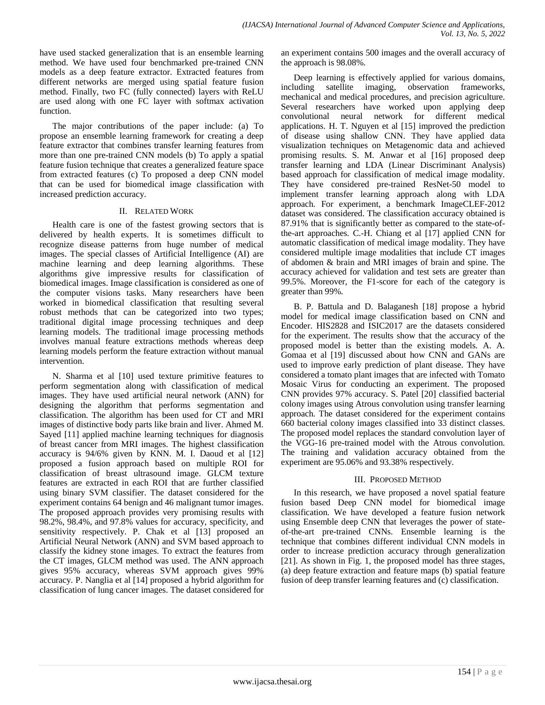have used stacked generalization that is an ensemble learning method. We have used four benchmarked pre-trained CNN models as a deep feature extractor. Extracted features from different networks are merged using spatial feature fusion method. Finally, two FC (fully connected) layers with ReLU are used along with one FC layer with softmax activation function.

The major contributions of the paper include: (a) To propose an ensemble learning framework for creating a deep feature extractor that combines transfer learning features from more than one pre-trained CNN models (b) To apply a spatial feature fusion technique that creates a generalized feature space from extracted features (c) To proposed a deep CNN model that can be used for biomedical image classification with increased prediction accuracy.

## II. RELATED WORK

Health care is one of the fastest growing sectors that is delivered by health experts. It is sometimes difficult to recognize disease patterns from huge number of medical images. The special classes of Artificial Intelligence (AI) are machine learning and deep learning algorithms. These algorithms give impressive results for classification of biomedical images. Image classification is considered as one of the computer visions tasks. Many researchers have been worked in biomedical classification that resulting several robust methods that can be categorized into two types; traditional digital image processing techniques and deep learning models. The traditional image processing methods involves manual feature extractions methods whereas deep learning models perform the feature extraction without manual intervention.

N. Sharma et al [10] used texture primitive features to perform segmentation along with classification of medical images. They have used artificial neural network (ANN) for designing the algorithm that performs segmentation and classification. The algorithm has been used for CT and MRI images of distinctive body parts like brain and liver. Ahmed M. Sayed [11] applied machine learning techniques for diagnosis of breast cancer from MRI images. The highest classification accuracy is 94/6% given by KNN. M. I. Daoud et al [12] proposed a fusion approach based on multiple ROI for classification of breast ultrasound image. GLCM texture features are extracted in each ROI that are further classified using binary SVM classifier. The dataset considered for the experiment contains 64 benign and 46 malignant tumor images. The proposed approach provides very promising results with 98.2%, 98.4%, and 97.8% values for accuracy, specificity, and sensitivity respectively. P. Chak et al [13] proposed an Artificial Neural Network (ANN) and SVM based approach to classify the kidney stone images. To extract the features from the CT images, GLCM method was used. The ANN approach gives 95% accuracy, whereas SVM approach gives 99% accuracy. P. Nanglia et al [14] proposed a hybrid algorithm for classification of lung cancer images. The dataset considered for an experiment contains 500 images and the overall accuracy of the approach is 98.08%.

Deep learning is effectively applied for various domains, including satellite imaging, observation frameworks, mechanical and medical procedures, and precision agriculture. Several researchers have worked upon applying deep convolutional neural network for different medical applications. H. T. Nguyen et al [15] improved the prediction of disease using shallow CNN. They have applied data visualization techniques on Metagenomic data and achieved promising results. S. M. Anwar et al [16] proposed deep transfer learning and LDA (Linear Discriminant Analysis) based approach for classification of medical image modality. They have considered pre-trained ResNet-50 model to implement transfer learning approach along with LDA approach. For experiment, a benchmark ImageCLEF-2012 dataset was considered. The classification accuracy obtained is 87.91% that is significantly better as compared to the state-ofthe-art approaches. C.-H. Chiang et al [17] applied CNN for automatic classification of medical image modality. They have considered multiple image modalities that include CT images of abdomen & brain and MRI images of brain and spine. The accuracy achieved for validation and test sets are greater than 99.5%. Moreover, the F1-score for each of the category is greater than 99%.

B. P. Battula and D. Balaganesh [18] propose a hybrid model for medical image classification based on CNN and Encoder. HIS2828 and ISIC2017 are the datasets considered for the experiment. The results show that the accuracy of the proposed model is better than the existing models. A. A. Gomaa et al [19] discussed about how CNN and GANs are used to improve early prediction of plant disease. They have considered a tomato plant images that are infected with Tomato Mosaic Virus for conducting an experiment. The proposed CNN provides 97% accuracy. S. Patel [20] classified bacterial colony images using Atrous convolution using transfer learning approach. The dataset considered for the experiment contains 660 bacterial colony images classified into 33 distinct classes. The proposed model replaces the standard convolution layer of the VGG-16 pre-trained model with the Atrous convolution. The training and validation accuracy obtained from the experiment are 95.06% and 93.38% respectively.

# III. PROPOSED METHOD

In this research, we have proposed a novel spatial feature fusion based Deep CNN model for biomedical image classification. We have developed a feature fusion network using Ensemble deep CNN that leverages the power of stateof-the-art pre-trained CNNs. Ensemble learning is the technique that combines different individual CNN models in order to increase prediction accuracy through generalization [21]. As shown in Fig. 1, the proposed model has three stages, (a) deep feature extraction and feature maps (b) spatial feature fusion of deep transfer learning features and (c) classification.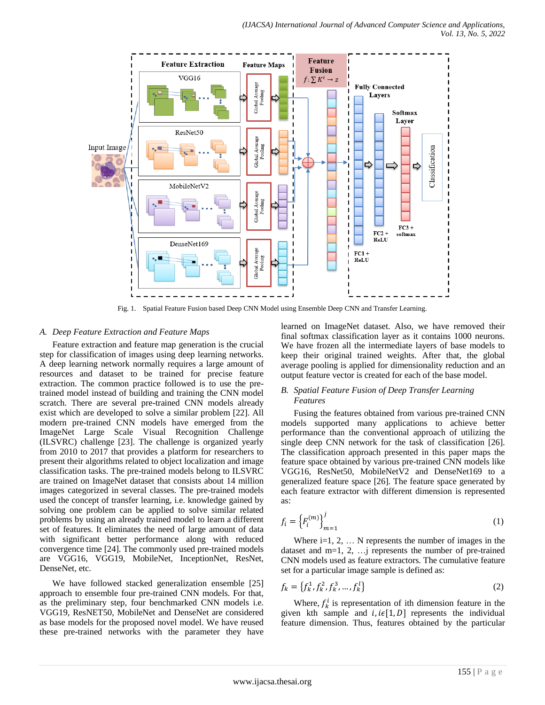

Fig. 1. Spatial Feature Fusion based Deep CNN Model using Ensemble Deep CNN and Transfer Learning.

## *A. Deep Feature Extraction and Feature Maps*

Feature extraction and feature map generation is the crucial step for classification of images using deep learning networks. A deep learning network normally requires a large amount of resources and dataset to be trained for precise feature extraction. The common practice followed is to use the pretrained model instead of building and training the CNN model scratch. There are several pre-trained CNN models already exist which are developed to solve a similar problem [22]. All modern pre-trained CNN models have emerged from the ImageNet Large Scale Visual Recognition Challenge (ILSVRC) challenge [23]. The challenge is organized yearly from 2010 to 2017 that provides a platform for researchers to present their algorithms related to object localization and image classification tasks. The pre-trained models belong to ILSVRC are trained on ImageNet dataset that consists about 14 million images categorized in several classes. The pre-trained models used the concept of transfer learning, i.e. knowledge gained by solving one problem can be applied to solve similar related problems by using an already trained model to learn a different set of features. It eliminates the need of large amount of data with significant better performance along with reduced convergence time [24]. The commonly used pre-trained models are VGG16, VGG19, MobileNet, InceptionNet, ResNet, DenseNet, etc.

We have followed stacked generalization ensemble [25] approach to ensemble four pre-trained CNN models. For that, as the preliminary step, four benchmarked CNN models i.e. VGG19, ResNET50, MobileNet and DenseNet are considered as base models for the proposed novel model. We have reused these pre-trained networks with the parameter they have learned on ImageNet dataset. Also, we have removed their final softmax classification layer as it contains 1000 neurons. We have frozen all the intermediate layers of base models to keep their original trained weights. After that, the global average pooling is applied for dimensionality reduction and an output feature vector is created for each of the base model.

## *B. Spatial Feature Fusion of Deep Transfer Learning Features*

Fusing the features obtained from various pre-trained CNN models supported many applications to achieve better performance than the conventional approach of utilizing the single deep CNN network for the task of classification [26]. The classification approach presented in this paper maps the feature space obtained by various pre-trained CNN models like VGG16, ResNet50, MobileNetV2 and DenseNet169 to a generalized feature space [26]. The feature space generated by each feature extractor with different dimension is represented as:

$$
f_i = \left\{ F_i^{(m)} \right\}_{m=1}^j \tag{1}
$$

Where  $i=1, 2, \ldots$  N represents the number of images in the dataset and  $m=1, 2, ...$  represents the number of pre-trained CNN models used as feature extractors. The cumulative feature set for a particular image sample is defined as:

$$
f_k = \{f_k^1, f_k^2, f_k^3, \dots, f_k^l\}
$$
 (2)

Where,  $f_k^i$  is representation of ith dimension feature in the given kth sample and  $i, i \in [1, D]$  represents the individual feature dimension. Thus, features obtained by the particular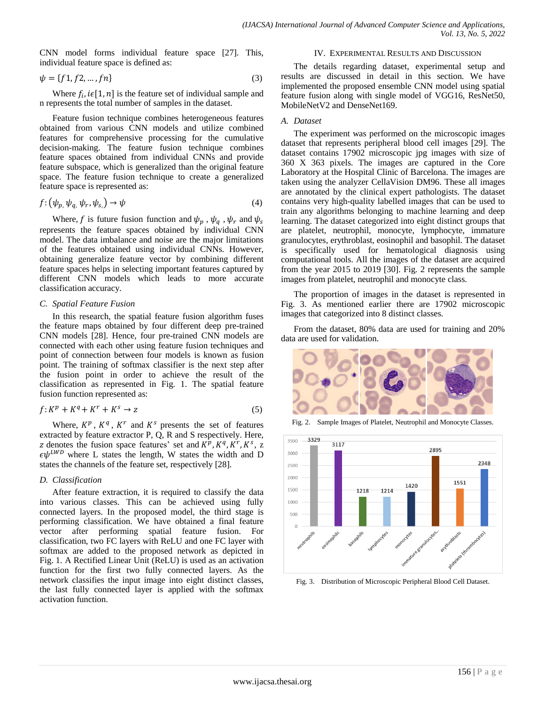CNN model forms individual feature space [27]. This, individual feature space is defined as:

$$
\psi = \{f1, f2, \dots, fn\} \tag{3}
$$

Where  $f_i$ ,  $i \in [1, n]$  is the feature set of individual sample and n represents the total number of samples in the dataset.

Feature fusion technique combines heterogeneous features obtained from various CNN models and utilize combined features for comprehensive processing for the cumulative decision-making. The feature fusion technique combines feature spaces obtained from individual CNNs and provide feature subspace, which is generalized than the original feature space. The feature fusion technique to create a generalized feature space is represented as:

$$
f: (\psi_{p_i}, \psi_{q_i}, \psi_r, \psi_{s_i}) \to \psi \tag{4}
$$

Where, f is future fusion function and  $\psi_p$ ,  $\psi_q$ ,  $\psi_r$  and  $\psi_s$ represents the feature spaces obtained by individual CNN model. The data imbalance and noise are the major limitations of the features obtained using individual CNNs. However, obtaining generalize feature vector by combining different feature spaces helps in selecting important features captured by different CNN models which leads to more accurate classification accuracy.

## *C. Spatial Feature Fusion*

In this research, the spatial feature fusion algorithm fuses the feature maps obtained by four different deep pre-trained CNN models [28]. Hence, four pre-trained CNN models are connected with each other using feature fusion techniques and point of connection between four models is known as fusion point. The training of softmax classifier is the next step after the fusion point in order to achieve the result of the classification as represented in Fig. 1. The spatial feature fusion function represented as:

$$
f: K^p + K^q + K^r + K^s \to z \tag{5}
$$

Where,  $K^p$ ,  $K^q$ ,  $K^r$  and  $K^s$  presents the set of features extracted by feature extractor P, Q, R and S respectively. Here, z denotes the fusion space features' set and  $K^p$ ,  $K^q$ ,  $K^r$ ,  $K^s$ , z  $\epsilon \psi^{LWD}$  where L states the length, W states the width and D states the channels of the feature set, respectively [28].

## *D. Classification*

After feature extraction, it is required to classify the data into various classes. This can be achieved using fully connected layers. In the proposed model, the third stage is performing classification. We have obtained a final feature vector after performing spatial feature fusion. For classification, two FC layers with ReLU and one FC layer with softmax are added to the proposed network as depicted in Fig. 1. A Rectified Linear Unit (ReLU) is used as an activation function for the first two fully connected layers. As the network classifies the input image into eight distinct classes, the last fully connected layer is applied with the softmax activation function.

#### IV. EXPERIMENTAL RESULTS AND DISCUSSION

The details regarding dataset, experimental setup and results are discussed in detail in this section. We have implemented the proposed ensemble CNN model using spatial feature fusion along with single model of VGG16, ResNet50, MobileNetV2 and DenseNet169.

## *A. Dataset*

The experiment was performed on the microscopic images dataset that represents peripheral blood cell images [29]. The dataset contains 17902 microscopic jpg images with size of 360 X 363 pixels. The images are captured in the Core Laboratory at the Hospital Clinic of Barcelona. The images are taken using the analyzer CellaVision DM96. These all images are annotated by the clinical expert pathologists. The dataset contains very high-quality labelled images that can be used to train any algorithms belonging to machine learning and deep learning. The dataset categorized into eight distinct groups that are platelet, neutrophil, monocyte, lymphocyte, immature granulocytes, erythroblast, eosinophil and basophil. The dataset is specifically used for hematological diagnosis using computational tools. All the images of the dataset are acquired from the year 2015 to 2019 [30]. Fig. 2 represents the sample images from platelet, neutrophil and monocyte class.

The proportion of images in the dataset is represented in Fig. 3. As mentioned earlier there are 17902 microscopic images that categorized into 8 distinct classes.

From the dataset, 80% data are used for training and 20% data are used for validation.



Fig. 2. Sample Images of Platelet, Neutrophil and Monocyte Classes.



Fig. 3. Distribution of Microscopic Peripheral Blood Cell Dataset.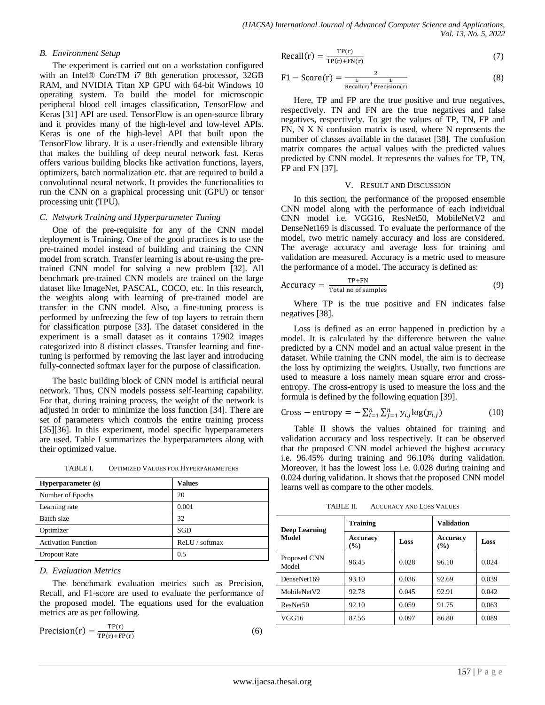#### *B. Environment Setup*

The experiment is carried out on a workstation configured with an Intel® CoreTM i7 8th generation processor, 32GB RAM, and NVIDIA Titan XP GPU with 64-bit Windows 10 operating system. To build the model for microscopic peripheral blood cell images classification, TensorFlow and Keras [31] API are used. TensorFlow is an open-source library and it provides many of the high-level and low-level APIs. Keras is one of the high-level API that built upon the TensorFlow library. It is a user-friendly and extensible library that makes the building of deep neural network fast. Keras offers various building blocks like activation functions, layers, optimizers, batch normalization etc. that are required to build a convolutional neural network. It provides the functionalities to run the CNN on a graphical processing unit (GPU) or tensor processing unit (TPU).

#### *C. Network Training and Hyperparameter Tuning*

One of the pre-requisite for any of the CNN model deployment is Training. One of the good practices is to use the pre-trained model instead of building and training the CNN model from scratch. Transfer learning is about re-using the pretrained CNN model for solving a new problem [32]. All benchmark pre-trained CNN models are trained on the large dataset like ImageNet, PASCAL, COCO, etc. In this research, the weights along with learning of pre-trained model are transfer in the CNN model. Also, a fine-tuning process is performed by unfreezing the few of top layers to retrain them for classification purpose [33]. The dataset considered in the experiment is a small dataset as it contains 17902 images categorized into 8 distinct classes. Transfer learning and finetuning is performed by removing the last layer and introducing fully-connected softmax layer for the purpose of classification.

The basic building block of CNN model is artificial neural network. Thus, CNN models possess self-learning capability. For that, during training process, the weight of the network is adjusted in order to minimize the loss function [34]. There are set of parameters which controls the entire training process [35][36]. In this experiment, model specific hyperparameters are used. Table I summarizes the hyperparameters along with their optimized value.

| Hyperparameter (s)         | <b>Values</b>  |
|----------------------------|----------------|
| Number of Epochs           | 20             |
| Learning rate              | 0.001          |
| Batch size                 | 32             |
| Optimizer                  | <b>SGD</b>     |
| <b>Activation Function</b> | ReLU / softmax |
| Dropout Rate               | 0.5            |

#### *D. Evaluation Metrics*

The benchmark evaluation metrics such as Precision, Recall, and F1-score are used to evaluate the performance of the proposed model. The equations used for the evaluation metrics are as per following.

$$
Precision(r) = \frac{TP(r)}{TP(r) + FP(r)}
$$

(6)

$$
Recall(r) = \frac{TP(r)}{TP(r) + FN(r)}
$$
(7)

$$
F1 - Score(r) = \frac{2}{\frac{1}{Recall(r)} + \frac{1}{Precision(r)}}
$$
(8)

Here, TP and FP are the true positive and true negatives, respectively. TN and FN are the true negatives and false negatives, respectively. To get the values of TP, TN, FP and FN, N X N confusion matrix is used, where N represents the number of classes available in the dataset [38]. The confusion matrix compares the actual values with the predicted values predicted by CNN model. It represents the values for TP, TN, FP and FN [37].

#### V. RESULT AND DISCUSSION

In this section, the performance of the proposed ensemble CNN model along with the performance of each individual CNN model i.e. VGG16, ResNet50, MobileNetV2 and DenseNet169 is discussed. To evaluate the performance of the model, two metric namely accuracy and loss are considered. The average accuracy and average loss for training and validation are measured. Accuracy is a metric used to measure the performance of a model. The accuracy is defined as:

$$
Accuracy = \frac{TP+FN}{Total no of samples}
$$
 (9)

Where TP is the true positive and FN indicates false negatives [38].

Loss is defined as an error happened in prediction by a model. It is calculated by the difference between the value predicted by a CNN model and an actual value present in the dataset. While training the CNN model, the aim is to decrease the loss by optimizing the weights. Usually, two functions are used to measure a loss namely mean square error and crossentropy. The cross-entropy is used to measure the loss and the formula is defined by the following equation [39].

Cross–entropy = 
$$
-\sum_{i=1}^{n} \sum_{j=1}^{n} y_{i,j} \log(p_{i,j})
$$
 (10)

Table II shows the values obtained for training and validation accuracy and loss respectively. It can be observed that the proposed CNN model achieved the highest accuracy i.e. 96.45% during training and 96.10% during validation. Moreover, it has the lowest loss i.e. 0.028 during training and 0.024 during validation. It shows that the proposed CNN model learns well as compare to the other models.

TABLE II. ACCURACY AND LOSS VALUES

| <b>Deep Learning</b>  | <b>Training</b>                          |       | <b>Validation</b>      |       |
|-----------------------|------------------------------------------|-------|------------------------|-------|
| <b>Model</b>          | <b>Accuracy</b><br>Loss<br>$\frac{9}{6}$ |       | <b>Accuracy</b><br>(%) | Loss  |
| Proposed CNN<br>Model | 96.45                                    | 0.028 | 96.10                  | 0.024 |
| DenseNet169           | 93.10                                    | 0.036 | 92.69                  | 0.039 |
| MobileNetV2           | 92.78                                    | 0.045 | 92.91                  | 0.042 |
| ResNet <sub>50</sub>  | 92.10                                    | 0.059 | 91.75                  | 0.063 |
| VGG16                 | 87.56                                    | 0.097 | 86.80                  | 0.089 |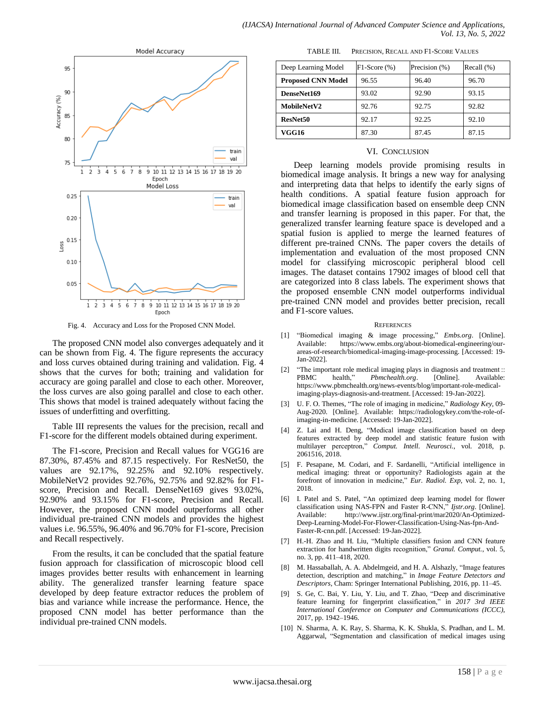

Fig. 4. Accuracy and Loss for the Proposed CNN Model.

The proposed CNN model also converges adequately and it can be shown from Fig. 4. The figure represents the accuracy and loss curves obtained during training and validation. Fig. 4 shows that the curves for both; training and validation for accuracy are going parallel and close to each other. Moreover, the loss curves are also going parallel and close to each other. This shows that model is trained adequately without facing the issues of underfitting and overfitting.

Table III represents the values for the precision, recall and F1-score for the different models obtained during experiment.

The F1-score, Precision and Recall values for VGG16 are 87.30%, 87.45% and 87.15 respectively. For ResNet50, the values are 92.17%, 92.25% and 92.10% respectively. MobileNetV2 provides 92.76%, 92.75% and 92.82% for F1 score, Precision and Recall. DenseNet169 gives 93.02%, 92.90% and 93.15% for F1-score, Precision and Recall. However, the proposed CNN model outperforms all other individual pre-trained CNN models and provides the highest values i.e. 96.55%, 96.40% and 96.70% for F1-score, Precision and Recall respectively.

From the results, it can be concluded that the spatial feature fusion approach for classification of microscopic blood cell images provides better results with enhancement in learning ability. The generalized transfer learning feature space developed by deep feature extractor reduces the problem of bias and variance while increase the performance. Hence, the proposed CNN model has better performance than the individual pre-trained CNN models.

TABLE III. PRECISION, RECALL AND F1-SCORE VALUES

| Deep Learning Model       | $F1-Score(%)$ | Precision (%) | Recall $(\%)$ |
|---------------------------|---------------|---------------|---------------|
| <b>Proposed CNN Model</b> | 96.55         | 96.40         | 96.70         |
| DenseNet169               | 93.02         | 92.90         | 93.15         |
| MobileNetV2               | 92.76         | 92.75         | 92.82         |
| ResNet50                  | 92.17         | 92.25         | 92.10         |
| VGG16                     | 87.30         | 87.45         | 87.15         |

#### VI. CONCLUSION

Deep learning models provide promising results in biomedical image analysis. It brings a new way for analysing and interpreting data that helps to identify the early signs of health conditions. A spatial feature fusion approach for biomedical image classification based on ensemble deep CNN and transfer learning is proposed in this paper. For that, the generalized transfer learning feature space is developed and a spatial fusion is applied to merge the learned features of different pre-trained CNNs. The paper covers the details of implementation and evaluation of the most proposed CNN model for classifying microscopic peripheral blood cell images. The dataset contains 17902 images of blood cell that are categorized into 8 class labels. The experiment shows that the proposed ensemble CNN model outperforms individual pre-trained CNN model and provides better precision, recall and F1-score values.

#### **REFERENCES**

- [1] "Biomedical imaging & image processing," *Embs.org*. [Online]. Available: https://www.embs.org/about-biomedical-engineering/ourareas-of-research/biomedical-imaging-image-processing. [Accessed: 19- Jan-2022].
- [2] "The important role medical imaging plays in diagnosis and treatment :: PBMC health," *Pbmchealth.org*. [Online]. Available: https://www.pbmchealth.org/news-events/blog/important-role-medicalimaging-plays-diagnosis-and-treatment. [Accessed: 19-Jan-2022].
- [3] U. F. O. Themes, "The role of imaging in medicine," *Radiology Key*, 09- Aug-2020. [Online]. Available: https://radiologykey.com/the-role-ofimaging-in-medicine. [Accessed: 19-Jan-2022].
- [4] Z. Lai and H. Deng, "Medical image classification based on deep features extracted by deep model and statistic feature fusion with multilayer perceptron," *Comput. Intell. Neurosci.*, vol. 2018, p. 2061516, 2018.
- [5] F. Pesapane, M. Codari, and F. Sardanelli, "Artificial intelligence in medical imaging: threat or opportunity? Radiologists again at the forefront of innovation in medicine," *Eur. Radiol. Exp*, vol. 2, no. 1, 2018.
- [6] I. Patel and S. Patel, "An optimized deep learning model for flower classification using NAS-FPN and Faster R-CNN," *Ijstr.org*. [Online]. Available: http://www.ijstr.org/final-print/mar2020/An-Optimized-Deep-Learning-Model-For-Flower-Classification-Using-Nas-fpn-And-Faster-R-cnn.pdf. [Accessed: 19-Jan-2022].
- [7] H.-H. Zhao and H. Liu, "Multiple classifiers fusion and CNN feature extraction for handwritten digits recognition," *Granul. Comput.*, vol. 5, no. 3, pp. 411–418, 2020.
- [8] M. Hassaballah, A. A. Abdelmgeid, and H. A. Alshazly, "Image features detection, description and matching," in *Image Feature Detectors and Descriptors*, Cham: Springer International Publishing, 2016, pp. 11–45.
- [9] S. Ge, C. Bai, Y. Liu, Y. Liu, and T. Zhao, "Deep and discriminative feature learning for fingerprint classification," in *2017 3rd IEEE International Conference on Computer and Communications (ICCC)*, 2017, pp. 1942–1946.
- [10] N. Sharma, A. K. Ray, S. Sharma, K. K. Shukla, S. Pradhan, and L. M. Aggarwal, "Segmentation and classification of medical images using